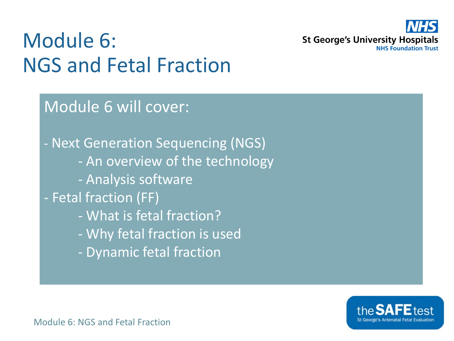

#### Module 6: NGS and Fetal Fraction

#### Module 6 will cover:

- Next Generation Sequencing (NGS) - An overview of the technology - Analysis software - Fetal fraction (FF) - What is fetal fraction? - Why fetal fraction is used

- Dynamic fetal fraction

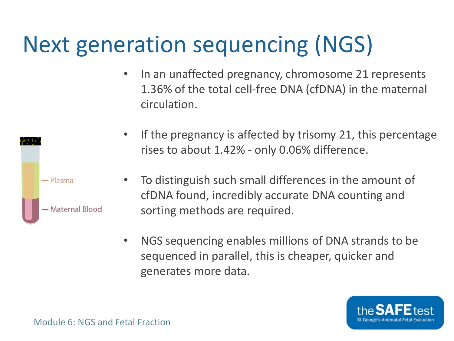## Next generation sequencing (NGS)

• In an unaffected pregnancy, chromosome 21 represents 1.36% of the total cell-free DNA (cfDNA) in the maternal circulation.





- To distinguish such small differences in the amount of cfDNA found, incredibly accurate DNA counting and sorting methods are required.
- NGS sequencing enables millions of DNA strands to be sequenced in parallel, this is cheaper, quicker and generates more data.

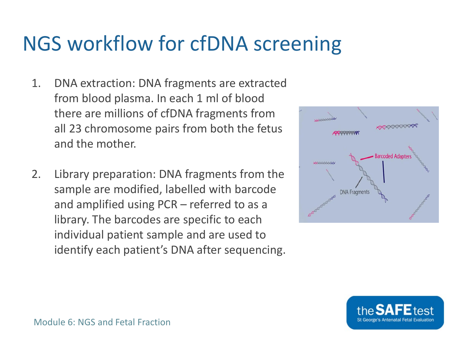#### NGS workflow for cfDNA screening

- 1. DNA extraction: DNA fragments are extracted from blood plasma. In each 1 ml of blood there are millions of cfDNA fragments from all 23 chromosome pairs from both the fetus and the mother.
- 2. Library preparation: DNA fragments from the sample are modified, labelled with barcode and amplified using PCR – referred to as a library. The barcodes are specific to each individual patient sample and are used to identify each patient's DNA after sequencing.



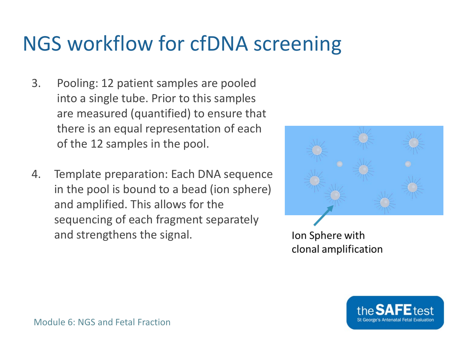#### NGS workflow for cfDNA screening

- 3. Pooling: 12 patient samples are pooled into a single tube. Prior to this samples are measured (quantified) to ensure that there is an equal representation of each of the 12 samples in the pool.
- 4. Template preparation: Each DNA sequence in the pool is bound to a bead (ion sphere) and amplified. This allows for the sequencing of each fragment separately and strengthens the signal.



Ion Sphere with clonal amplification

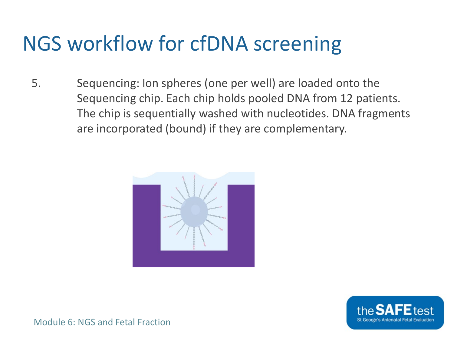#### NGS workflow for cfDNA screening

5. Sequencing: Ion spheres (one per well) are loaded onto the Sequencing chip. Each chip holds pooled DNA from 12 patients. The chip is sequentially washed with nucleotides. DNA fragments are incorporated (bound) if they are complementary.



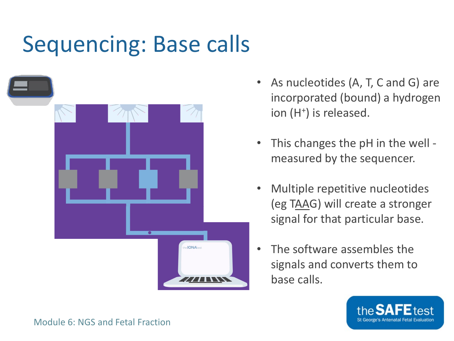#### Sequencing: Base calls



- As nucleotides (A, T, C and G) are incorporated (bound) a hydrogen ion (H<sup>+</sup>) is released.
- This changes the pH in the well measured by the sequencer.
- Multiple repetitive nucleotides (eg TAAG) will create a stronger signal for that particular base.
- The software assembles the signals and converts them to base calls.

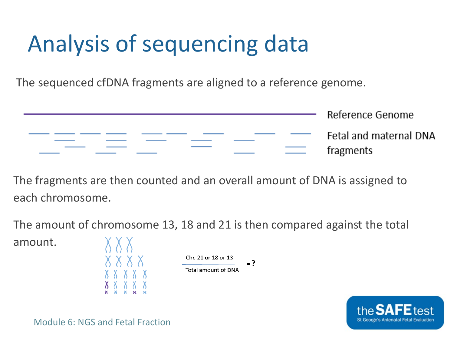## Analysis of sequencing data

The sequenced cfDNA fragments are aligned to a reference genome.



The fragments are then counted and an overall amount of DNA is assigned to each chromosome.

The amount of chromosome 13, 18 and 21 is then compared against the total

amount.

$$
\begin{array}{|c|c|c|}\n\hline\n\begin{array}{c}\n\big\langle\n\end{array}\big\langle\n\begin{array}{c}\n\big\langle\n\end{array}\big\rangle\n\end{array}\n\qquad\n\begin{array}{c}\n\hline\n\big\langle\n\end{array}\n\qquad\n\begin{array}{c}\n\hline\n\big\langle\n\end{array}\n\qquad\n\begin{array}{c}\n\hline\n\big\langle\n\end{array}\n\qquad\n\begin{array}{c}\n\hline\n\big\langle\n\end{array}\n\qquad\n\begin{array}{c}\n\hline\n\big\langle\n\end{array}\n\qquad\n\begin{array}{c}\n\hline\n\big\langle\n\end{array}\n\qquad\n\begin{array}{c}\n\hline\n\big\langle\n\end{array}\n\qquad\n\begin{array}{c}\n\hline\n\big\langle\n\end{array}\n\qquad\n\begin{array}{c}\n\hline\n\big\langle\n\end{array}\n\qquad\n\begin{array}{c}\n\hline\n\big\langle\n\end{array}\n\qquad\n\begin{array}{c}\n\hline\n\big\langle\n\end{array}\n\qquad\n\begin{array}{c}\n\hline\n\big\langle\n\end{array}\n\qquad\n\begin{array}{c}\n\hline\n\big\langle\n\end{array}\n\qquad\n\begin{array}{c}\n\hline\n\big\langle\n\end{array}\n\qquad\n\begin{array}{c}\n\hline\n\big\langle\n\end{array}\n\qquad\n\begin{array}{c}\n\hline\n\big\langle\n\end{array}\n\qquad\n\begin{array}{c}\n\hline\n\big\langle\n\end{array}\n\qquad\n\begin{array}{c}\n\hline\n\big\langle\n\end{array}\n\qquad\n\begin{array}{c}\n\hline\n\big\langle\n\end{array}\n\qquad\n\begin{array}{c}\n\hline\n\big\langle\n\end{array}\n\qquad\n\begin{array}{c}\n\hline\n\big\langle\n\end{array}\n\qquad\n\begin{array}{c}\n\hline\n\big\langle\n\end{array}\n\qquad\n\begin{array}{c}\n\hline\n\big\langle\n\end{array}\n\qquad\n\begin{array}{c}\n\hline\n\big\langle\n\end{array}\n\qquad\n\begin{array}{c}\n\hline\n\big\langle\n\end{array}\n\qquad\n\begin{array}{c}\n\hline\n\
$$

$$
\frac{10! \times 21 \text{ or } 18 \text{ or } 13}{\text{tal amount of DNA}} = ?
$$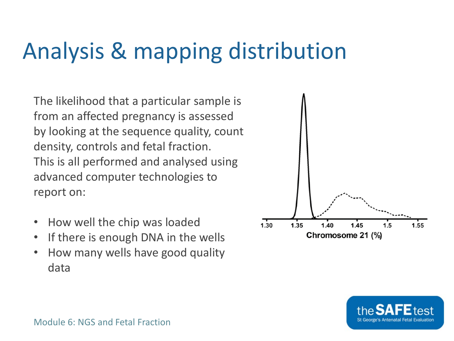## Analysis & mapping distribution

The likelihood that a particular sample is from an affected pregnancy is assessed by looking at the sequence quality, count density, controls and fetal fraction. This is all performed and analysed using advanced computer technologies to report on:

- How well the chip was loaded
- If there is enough DNA in the wells
- How many wells have good quality data



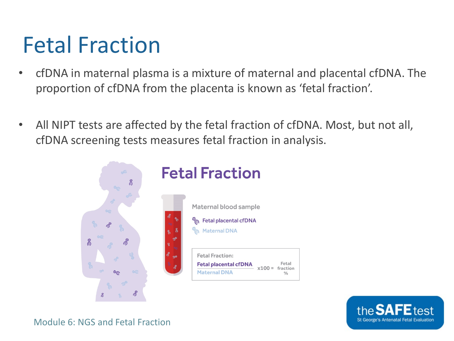#### Fetal Fraction

- cfDNA in maternal plasma is a mixture of maternal and placental cfDNA. The proportion of cfDNA from the placenta is known as 'fetal fraction'.
- All NIPT tests are affected by the fetal fraction of cfDNA. Most, but not all, cfDNA screening tests measures fetal fraction in analysis.



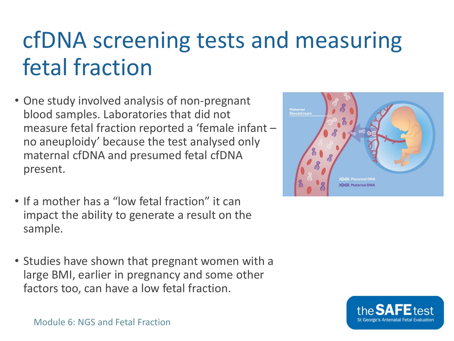## cfDNA screening tests and measuring fetal fraction

- One study involved analysis of non-pregnant blood samples. Laboratories that did not measure fetal fraction reported a 'female infant – no aneuploidy' because the test analysed only maternal cfDNA and presumed fetal cfDNA present.
- If a mother has a "low fetal fraction" it can impact the ability to generate a result on the sample.
- Studies have shown that pregnant women with a large BMI, earlier in pregnancy and some other factors too, can have a low fetal fraction.



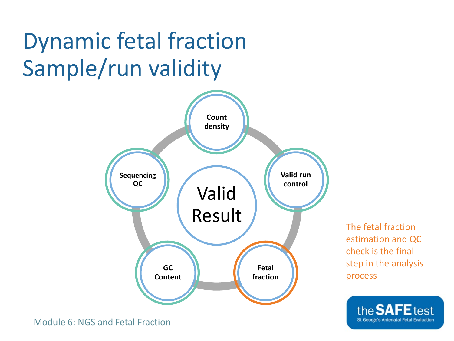## Dynamic fetal fraction Sample/run validity



The fetal fraction estimation and QC check is the final step in the analysis process

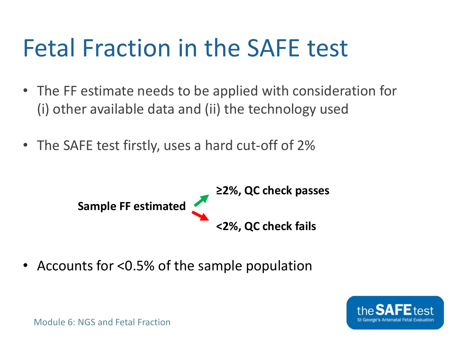# Fetal Fraction in the SAFE test

- The FF estimate needs to be applied with consideration for (i) other available data and (ii) the technology used
- The SAFE test firstly, uses a hard cut-off of 2%



• Accounts for <0.5% of the sample population